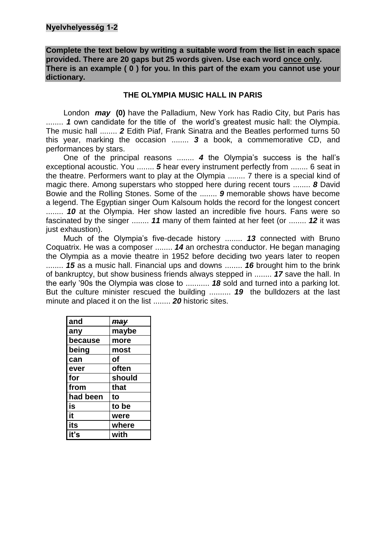**Complete the text below by writing a suitable word from the list in each space provided. There are 20 gaps but 25 words given. Use each word once only. There is an example ( 0 ) for you. In this part of the exam you cannot use your dictionary.**

### **THE OLYMPIA MUSIC HALL IN PARIS**

London *may* **(0)** have the Palladium, New York has Radio City, but Paris has ........ *1* own candidate for the title of the world's greatest music hall: the Olympia. The music hall ........ *2* Edith Piaf, Frank Sinatra and the Beatles performed turns 50 this year, marking the occasion ........ *3* a book, a commemorative CD, and performances by stars.

One of the principal reasons ........ *4* the Olympia's success is the hall's exceptional acoustic. You ........ *5* hear every instrument perfectly from ........ 6 seat in the theatre. Performers want to play at the Olympia ........ 7 there is a special kind of magic there. Among superstars who stopped here during recent tours ........ *8* David Bowie and the Rolling Stones. Some of the ........ *9* memorable shows have become a legend. The Egyptian singer Oum Kalsoum holds the record for the longest concert ........ *10* at the Olympia. Her show lasted an incredible five hours. Fans were so fascinated by the singer ........ *11* many of them fainted at her feet (or ........ *12* it was just exhaustion).

Much of the Olympia's five-decade history ........ *13* connected with Bruno Coquatrix. He was a composer ........ *14* an orchestra conductor. He began managing the Olympia as a movie theatre in 1952 before deciding two years later to reopen ........ *15* as a music hall. Financial ups and downs ........ *16* brought him to the brink of bankruptcy, but show business friends always stepped in ........ *17* save the hall. In the early '90s the Olympia was close to ........... *18* sold and turned into a parking lot. But the culture minister rescued the building .......... *19* the bulldozers at the last minute and placed it on the list ........ *20* historic sites.

| and      | may    |
|----------|--------|
| any      | maybe  |
| because  | more   |
| being    | most   |
| can      | оf     |
| ever     | often  |
| for      | should |
| from     | that   |
| had been | to     |
| is       | to be  |
| it       | were   |
| its      | where  |
| iť's     | with   |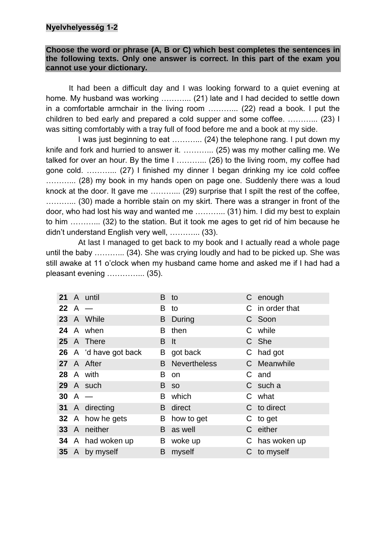## **Nyelvhelyesség 1-2**

### **Choose the word or phrase (A, B or C) which best completes the sentences in the following texts. Only one answer is correct. In this part of the exam you cannot use your dictionary.**

It had been a difficult day and I was looking forward to a quiet evening at home. My husband was working ………... (21) late and I had decided to settle down in a comfortable armchair in the living room ………... (22) read a book. I put the children to bed early and prepared a cold supper and some coffee. ………... (23) I was sitting comfortably with a tray full of food before me and a book at my side.

I was just beginning to eat ............ (24) the telephone rang. I put down my knife and fork and hurried to answer it. ………... (25) was my mother calling me. We talked for over an hour. By the time I ………... (26) to the living room, my coffee had gone cold. ………... (27) I finished my dinner I began drinking my ice cold coffee ............ (28) my book in my hands open on page one. Suddenly there was a loud knock at the door. It gave me ………... (29) surprise that I spilt the rest of the coffee, ………... (30) made a horrible stain on my skirt. There was a stranger in front of the door, who had lost his way and wanted me ………... (31) him. I did my best to explain to him ………... (32) to the station. But it took me ages to get rid of him because he didn't understand English very well, ………... (33).

At last I managed to get back to my book and I actually read a whole page until the baby ………... (34). She was crying loudly and had to be picked up. She was still awake at 11 o'clock when my husband came home and asked me if I had had a pleasant evening …………... (35).

|            | 21 A until            | B.   | to                    | C enough        |
|------------|-----------------------|------|-----------------------|-----------------|
| $22$ A $-$ |                       | B    | to                    | C in order that |
|            | 23 A While            | B.   | During                | C Soon          |
|            | 24 A when             | B    | then                  | C while         |
|            | 25 A There            | B It |                       | C She           |
|            | 26 A 'd have got back |      | B got back            | C had got       |
|            | 27 A After            |      | <b>B</b> Nevertheless | C Meanwhile     |
|            | 28 A with             | в    | on                    | C and           |
|            | 29 A such             |      | B so                  | C such a        |
| $30$ A $-$ |                       | B    | which                 | C what          |
|            | 31 A directing        |      | <b>B</b> direct       | C to direct     |
|            | 32 A how he gets      |      | B how to get          | C to get        |
|            | 33 A neither          |      | <b>B</b> as well      | C either        |
|            | 34 A had woken up     |      | B woke up             | C has woken up  |
|            | 35 A by myself        | B.   | myself                | C to myself     |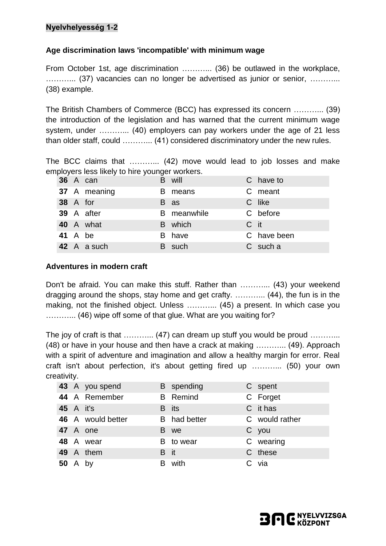# **Nyelvhelyesség 1-2**

## **Age discrimination laws 'incompatible' with minimum wage**

From October 1st, age discrimination ………... (36) be outlawed in the workplace, ………... (37) vacancies can no longer be advertised as junior or senior, ………... (38) example.

The British Chambers of Commerce (BCC) has expressed its concern ………... (39) the introduction of the legislation and has warned that the current minimum wage system, under ………... (40) employers can pay workers under the age of 21 less than older staff, could ………... (41) considered discriminatory under the new rules.

The BCC claims that ………... (42) move would lead to job losses and make employers less likely to hire younger workers.

|                 | 36 A can     | B will      |      | C have to   |
|-----------------|--------------|-------------|------|-------------|
|                 | 37 A meaning | B means     |      | C meant     |
| <b>38</b> A for |              | B as        |      | C like      |
|                 | 39 A after   | B meanwhile |      | C before    |
|                 | 40 A what    | B which     | C it |             |
| <b>41</b> A be  |              | B have      |      | C have been |
|                 | 42 A a such  | B such      |      | C such a    |

### **Adventures in modern craft**

Don't be afraid. You can make this stuff. Rather than ………... (43) your weekend dragging around the shops, stay home and get crafty. ………... (44), the fun is in the making, not the finished object. Unless ............ (45) a present. In which case you ………... (46) wipe off some of that glue. What are you waiting for?

The joy of craft is that ………….. (47) can dream up stuff you would be proud …………. (48) or have in your house and then have a crack at making ………... (49). Approach with a spirit of adventure and imagination and allow a healthy margin for error. Real craft isn't about perfection, it's about getting fired up ………... (50) your own creativity.

 A you spend B spending C spent A Remember B Remind C Forget A it's B its C it has A would better B had better C would rather A one B we C you A wear **B** to wear **C** wearing A them B it C these A by B with C via

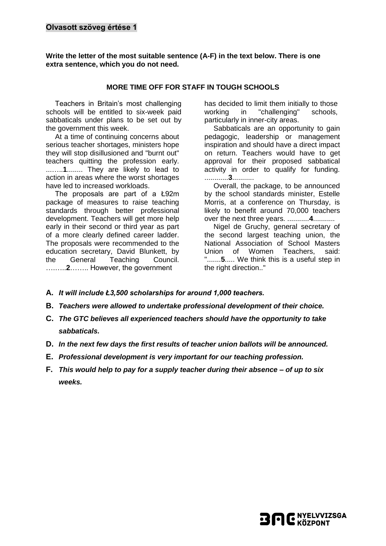**Write the letter of the most suitable sentence (A-F) in the text below. There is one extra sentence, which you do not need.**

#### **MORE TIME OFF FOR STAFF IN TOUGH SCHOOLS**

Teachers in Britain's most challenging schools will be entitled to six-week paid sabbaticals under plans to be set out by the government this week.

At a time of continuing concerns about serious teacher shortages, ministers hope they will stop disillusioned and "burnt out" teachers quitting the profession early. ...…..**1**........ They are likely to lead to action in areas where the worst shortages have led to increased workloads.

The proposals are part of a Ł92m package of measures to raise teaching standards through better professional development. Teachers will get more help early in their second or third year as part of a more clearly defined career ladder. The proposals were recommended to the education secretary, David Blunkett, by the General Teaching Council. ….…..**2**…….. However, the government

has decided to limit them initially to those working in "challenging" schools, particularly in inner-city areas.

Sabbaticals are an opportunity to gain pedagogic, leadership or management inspiration and should have a direct impact on return. Teachers would have to get approval for their proposed sabbatical activity in order to qualify for funding. ............**3**...........

Overall, the package, to be announced by the school standards minister, Estelle Morris, at a conference on Thursday, is likely to benefit around 70,000 teachers over the next three years. ...........**4**...........

Nigel de Gruchy, general secretary of the second largest teaching union, the National Association of School Masters Union of Women Teachers, said: ".......**5**..... We think this is a useful step in the right direction.."

- **A.** *It will include Ł3,500 scholarships for around 1,000 teachers.*
- **B.** *Teachers were allowed to undertake professional development of their choice.*
- **C.** *The GTC believes all experienced teachers should have the opportunity to take sabbaticals.*
- **D.** *In the next few days the first results of teacher union ballots will be announced.*
- **E.** *Professional development is very important for our teaching profession.*
- **F.** *This would help to pay for a supply teacher during their absence – of up to six weeks.*

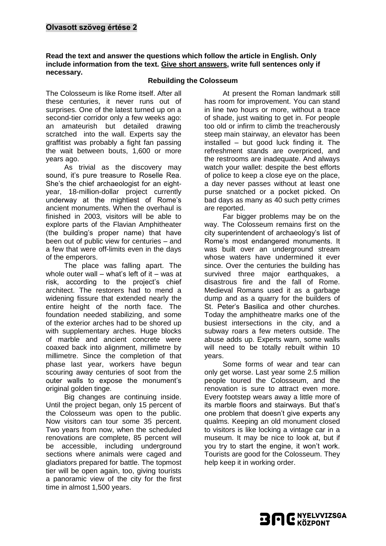#### **Read the text and answer the questions which follow the article in English. Only include information from the text. Give short answers, write full sentences only if necessary.**

#### **Rebuilding the Colosseum**

The Colosseum is like Rome itself. After all these centuries, it never runs out of surprises. One of the latest turned up on a second-tier corridor only a few weeks ago: an amateurish but detailed drawing scratched into the wall. Experts say the graffitist was probably a fight fan passing the wait between bouts, 1,600 or more years ago.

As trivial as the discovery may sound, it's pure treasure to Roselle Rea. She's the chief archaeologist for an eightyear, 18-million-dollar project currently underway at the mightiest of Rome's ancient monuments. When the overhaul is finished in 2003, visitors will be able to explore parts of the Flavian Amphitheater (the building's proper name) that have been out of public view for centuries – and a few that were off-limits even in the days of the emperors.

The place was falling apart. The whole outer wall – what's left of it – was at risk, according to the project's chief architect. The restorers had to mend a widening fissure that extended nearly the entire height of the north face. The foundation needed stabilizing, and some of the exterior arches had to be shored up with supplementary arches. Huge blocks of marble and ancient concrete were coaxed back into alignment, millimetre by millimetre. Since the completion of that phase last year, workers have begun scouring away centuries of soot from the outer walls to expose the monument's original golden tinge.

Big changes are continuing inside. Until the project began, only 15 percent of the Colosseum was open to the public. Now visitors can tour some 35 percent. Two years from now, when the scheduled renovations are complete, 85 percent will be accessible, including underground sections where animals were caged and gladiators prepared for battle. The topmost tier will be open again, too, giving tourists a panoramic view of the city for the first time in almost 1,500 years.

At present the Roman landmark still has room for improvement. You can stand in line two hours or more, without a trace of shade, just waiting to get in. For people too old or infirm to climb the treacherously steep main stairway, an elevator has been installed – but good luck finding it. The refreshment stands are overpriced, and the restrooms are inadequate. And always watch your wallet: despite the best efforts of police to keep a close eye on the place, a day never passes without at least one purse snatched or a pocket picked. On bad days as many as 40 such petty crimes are reported.

Far bigger problems may be on the way. The Colosseum remains first on the city superintendent of archaeology's list of Rome's most endangered monuments. It was built over an underground stream whose waters have undermined it ever since. Over the centuries the building has survived three major earthquakes, a disastrous fire and the fall of Rome. Medieval Romans used it as a garbage dump and as a quarry for the builders of St. Peter's Basilica and other churches. Today the amphitheatre marks one of the busiest intersections in the city, and a subway roars a few meters outside. The abuse adds up. Experts warn, some walls will need to be totally rebuilt within 10 years.

Some forms of wear and tear can only get worse. Last year some 2.5 million people toured the Colosseum, and the renovation is sure to attract even more. Every footstep wears away a little more of its marble floors and stairways. But that's one problem that doesn't give experts any qualms. Keeping an old monument closed to visitors is like locking a vintage car in a museum. It may be nice to look at, but if you try to start the engine, it won't work. Tourists are good for the Colosseum. They help keep it in working order.

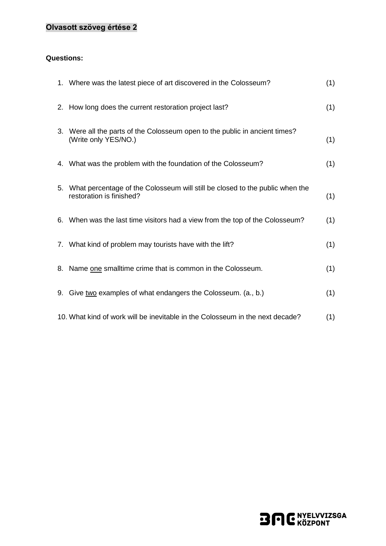# **Olvasott szöveg értése 2**

### **Questions:**

| 1. Where was the latest piece of art discovered in the Colosseum?                                           | (1) |
|-------------------------------------------------------------------------------------------------------------|-----|
| 2. How long does the current restoration project last?                                                      | (1) |
| 3. Were all the parts of the Colosseum open to the public in ancient times?<br>(Write only YES/NO.)         | (1) |
| 4. What was the problem with the foundation of the Colosseum?                                               | (1) |
| 5. What percentage of the Colosseum will still be closed to the public when the<br>restoration is finished? | (1) |
| 6. When was the last time visitors had a view from the top of the Colosseum?                                | (1) |
| 7. What kind of problem may tourists have with the lift?                                                    | (1) |
| 8. Name one smalltime crime that is common in the Colosseum.                                                | (1) |
| 9. Give two examples of what endangers the Colosseum. (a., b.)                                              | (1) |
| 10. What kind of work will be inevitable in the Colosseum in the next decade?                               | (1) |

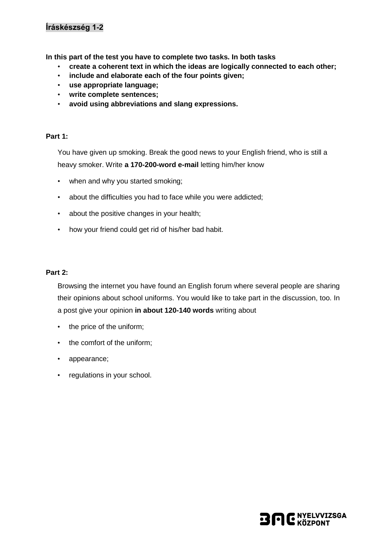# **Íráskészség 1-2**

**In this part of the test you have to complete two tasks. In both tasks** 

- **create a coherent text in which the ideas are logically connected to each other;**
- **include and elaborate each of the four points given;**
- **use appropriate language;**
- **write complete sentences;**
- **avoid using abbreviations and slang expressions.**

#### **Part 1:**

You have given up smoking. Break the good news to your English friend, who is still a heavy smoker. Write **a 170-200-word e-mail** letting him/her know

- when and why you started smoking;
- about the difficulties you had to face while you were addicted;
- about the positive changes in your health;
- how your friend could get rid of his/her bad habit.

#### **Part 2:**

Browsing the internet you have found an English forum where several people are sharing their opinions about school uniforms. You would like to take part in the discussion, too. In a post give your opinion **in about 120-140 words** writing about

- the price of the uniform;
- the comfort of the uniform;
- appearance;
- regulations in your school.